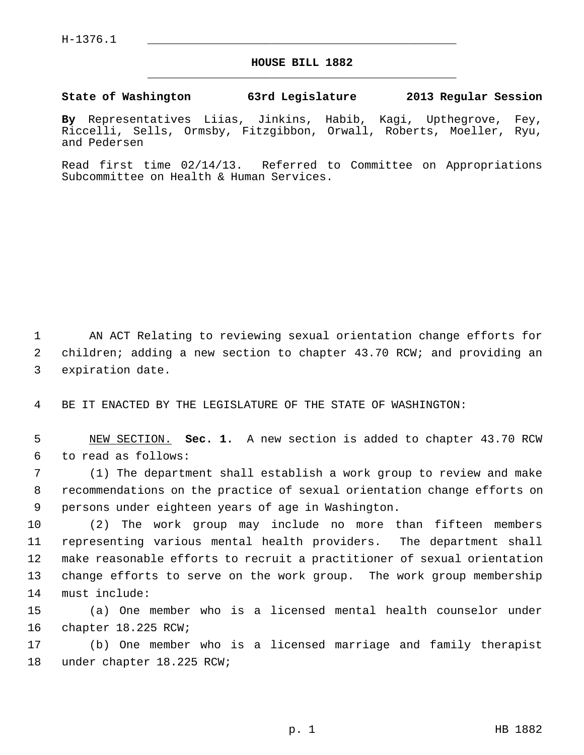## **HOUSE BILL 1882** \_\_\_\_\_\_\_\_\_\_\_\_\_\_\_\_\_\_\_\_\_\_\_\_\_\_\_\_\_\_\_\_\_\_\_\_\_\_\_\_\_\_\_\_\_

## **State of Washington 63rd Legislature 2013 Regular Session**

**By** Representatives Liias, Jinkins, Habib, Kagi, Upthegrove, Fey, Riccelli, Sells, Ormsby, Fitzgibbon, Orwall, Roberts, Moeller, Ryu, and Pedersen

Read first time 02/14/13. Referred to Committee on Appropriations Subcommittee on Health & Human Services.

 1 AN ACT Relating to reviewing sexual orientation change efforts for 2 children; adding a new section to chapter 43.70 RCW; and providing an 3 expiration date.

4 BE IT ENACTED BY THE LEGISLATURE OF THE STATE OF WASHINGTON:

 5 NEW SECTION. **Sec. 1.** A new section is added to chapter 43.70 RCW 6 to read as follows:

 7 (1) The department shall establish a work group to review and make 8 recommendations on the practice of sexual orientation change efforts on 9 persons under eighteen years of age in Washington.

10 (2) The work group may include no more than fifteen members 11 representing various mental health providers. The department shall 12 make reasonable efforts to recruit a practitioner of sexual orientation 13 change efforts to serve on the work group. The work group membership 14 must include:

15 (a) One member who is a licensed mental health counselor under 16 chapter 18.225 RCW;

17 (b) One member who is a licensed marriage and family therapist 18 under chapter 18.225 RCW;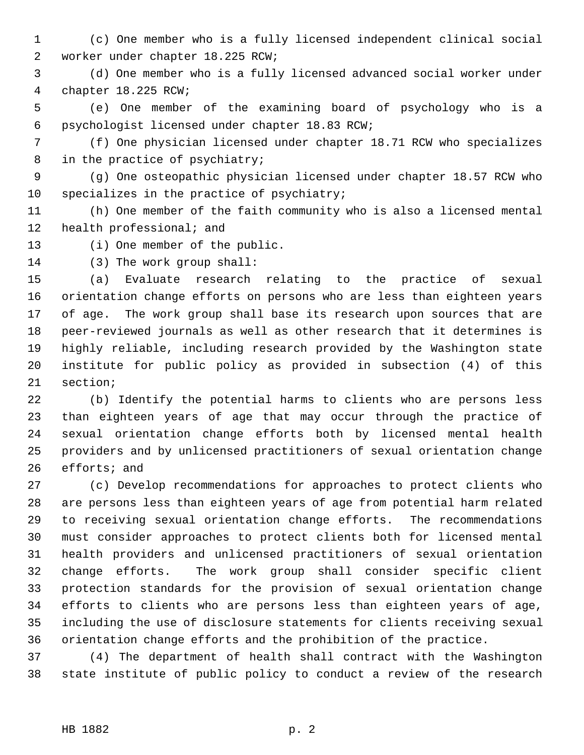- 1 (c) One member who is a fully licensed independent clinical social 2 worker under chapter 18.225 RCW;
- 3 (d) One member who is a fully licensed advanced social worker under 4 chapter 18.225 RCW;
- 5 (e) One member of the examining board of psychology who is a 6 psychologist licensed under chapter 18.83 RCW;
- 7 (f) One physician licensed under chapter 18.71 RCW who specializes 8 in the practice of psychiatry;
- 9 (g) One osteopathic physician licensed under chapter 18.57 RCW who 10 specializes in the practice of psychiatry;
- 11 (h) One member of the faith community who is also a licensed mental 12 health professional; and
- 13 (i) One member of the public.
- 14 (3) The work group shall:

15 (a) Evaluate research relating to the practice of sexual 16 orientation change efforts on persons who are less than eighteen years 17 of age. The work group shall base its research upon sources that are 18 peer-reviewed journals as well as other research that it determines is 19 highly reliable, including research provided by the Washington state 20 institute for public policy as provided in subsection (4) of this 21 section;

22 (b) Identify the potential harms to clients who are persons less 23 than eighteen years of age that may occur through the practice of 24 sexual orientation change efforts both by licensed mental health 25 providers and by unlicensed practitioners of sexual orientation change 26 efforts; and

27 (c) Develop recommendations for approaches to protect clients who 28 are persons less than eighteen years of age from potential harm related 29 to receiving sexual orientation change efforts. The recommendations 30 must consider approaches to protect clients both for licensed mental 31 health providers and unlicensed practitioners of sexual orientation 32 change efforts. The work group shall consider specific client 33 protection standards for the provision of sexual orientation change 34 efforts to clients who are persons less than eighteen years of age, 35 including the use of disclosure statements for clients receiving sexual 36 orientation change efforts and the prohibition of the practice.

37 (4) The department of health shall contract with the Washington 38 state institute of public policy to conduct a review of the research